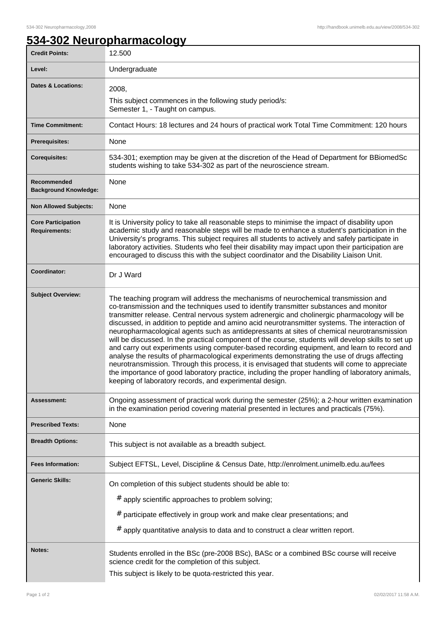## **534-302 Neuropharmacology**

| <b>Credit Points:</b>                             | 12.500                                                                                                                                                                                                                                                                                                                                                                                                                                                                                                                                                                                                                                                                                                                                                                                                                                                                                                                                                                                                                                           |
|---------------------------------------------------|--------------------------------------------------------------------------------------------------------------------------------------------------------------------------------------------------------------------------------------------------------------------------------------------------------------------------------------------------------------------------------------------------------------------------------------------------------------------------------------------------------------------------------------------------------------------------------------------------------------------------------------------------------------------------------------------------------------------------------------------------------------------------------------------------------------------------------------------------------------------------------------------------------------------------------------------------------------------------------------------------------------------------------------------------|
| Level:                                            | Undergraduate                                                                                                                                                                                                                                                                                                                                                                                                                                                                                                                                                                                                                                                                                                                                                                                                                                                                                                                                                                                                                                    |
| <b>Dates &amp; Locations:</b>                     | 2008,                                                                                                                                                                                                                                                                                                                                                                                                                                                                                                                                                                                                                                                                                                                                                                                                                                                                                                                                                                                                                                            |
|                                                   | This subject commences in the following study period/s:<br>Semester 1, - Taught on campus.                                                                                                                                                                                                                                                                                                                                                                                                                                                                                                                                                                                                                                                                                                                                                                                                                                                                                                                                                       |
| <b>Time Commitment:</b>                           | Contact Hours: 18 lectures and 24 hours of practical work Total Time Commitment: 120 hours                                                                                                                                                                                                                                                                                                                                                                                                                                                                                                                                                                                                                                                                                                                                                                                                                                                                                                                                                       |
| <b>Prerequisites:</b>                             | None                                                                                                                                                                                                                                                                                                                                                                                                                                                                                                                                                                                                                                                                                                                                                                                                                                                                                                                                                                                                                                             |
| <b>Corequisites:</b>                              | 534-301; exemption may be given at the discretion of the Head of Department for BBiomedSc<br>students wishing to take 534-302 as part of the neuroscience stream.                                                                                                                                                                                                                                                                                                                                                                                                                                                                                                                                                                                                                                                                                                                                                                                                                                                                                |
| Recommended<br><b>Background Knowledge:</b>       | None                                                                                                                                                                                                                                                                                                                                                                                                                                                                                                                                                                                                                                                                                                                                                                                                                                                                                                                                                                                                                                             |
| <b>Non Allowed Subjects:</b>                      | None                                                                                                                                                                                                                                                                                                                                                                                                                                                                                                                                                                                                                                                                                                                                                                                                                                                                                                                                                                                                                                             |
| <b>Core Participation</b><br><b>Requirements:</b> | It is University policy to take all reasonable steps to minimise the impact of disability upon<br>academic study and reasonable steps will be made to enhance a student's participation in the<br>University's programs. This subject requires all students to actively and safely participate in<br>laboratory activities. Students who feel their disability may impact upon their participation are<br>encouraged to discuss this with the subject coordinator and the Disability Liaison Unit.                                                                                                                                                                                                                                                                                                                                                                                                                                                                                                                                               |
| Coordinator:                                      | Dr J Ward                                                                                                                                                                                                                                                                                                                                                                                                                                                                                                                                                                                                                                                                                                                                                                                                                                                                                                                                                                                                                                        |
| <b>Subject Overview:</b>                          | The teaching program will address the mechanisms of neurochemical transmission and<br>co-transmission and the techniques used to identify transmitter substances and monitor<br>transmitter release. Central nervous system adrenergic and cholinergic pharmacology will be<br>discussed, in addition to peptide and amino acid neurotransmitter systems. The interaction of<br>neuropharmacological agents such as antidepressants at sites of chemical neurotransmission<br>will be discussed. In the practical component of the course, students will develop skills to set up<br>and carry out experiments using computer-based recording equipment, and learn to record and<br>analyse the results of pharmacological experiments demonstrating the use of drugs affecting<br>neurotransmission. Through this process, it is envisaged that students will come to appreciate<br>the importance of good laboratory practice, including the proper handling of laboratory animals,<br>keeping of laboratory records, and experimental design. |
| <b>Assessment:</b>                                | Ongoing assessment of practical work during the semester (25%); a 2-hour written examination<br>in the examination period covering material presented in lectures and practicals (75%).                                                                                                                                                                                                                                                                                                                                                                                                                                                                                                                                                                                                                                                                                                                                                                                                                                                          |
| <b>Prescribed Texts:</b>                          | None                                                                                                                                                                                                                                                                                                                                                                                                                                                                                                                                                                                                                                                                                                                                                                                                                                                                                                                                                                                                                                             |
| <b>Breadth Options:</b>                           | This subject is not available as a breadth subject.                                                                                                                                                                                                                                                                                                                                                                                                                                                                                                                                                                                                                                                                                                                                                                                                                                                                                                                                                                                              |
| <b>Fees Information:</b>                          | Subject EFTSL, Level, Discipline & Census Date, http://enrolment.unimelb.edu.au/fees                                                                                                                                                                                                                                                                                                                                                                                                                                                                                                                                                                                                                                                                                                                                                                                                                                                                                                                                                             |
| <b>Generic Skills:</b>                            | On completion of this subject students should be able to:<br># apply scientific approaches to problem solving;<br># participate effectively in group work and make clear presentations; and<br>apply quantitative analysis to data and to construct a clear written report.<br>#                                                                                                                                                                                                                                                                                                                                                                                                                                                                                                                                                                                                                                                                                                                                                                 |
| Notes:                                            | Students enrolled in the BSc (pre-2008 BSc), BASc or a combined BSc course will receive<br>science credit for the completion of this subject.<br>This subject is likely to be quota-restricted this year.                                                                                                                                                                                                                                                                                                                                                                                                                                                                                                                                                                                                                                                                                                                                                                                                                                        |